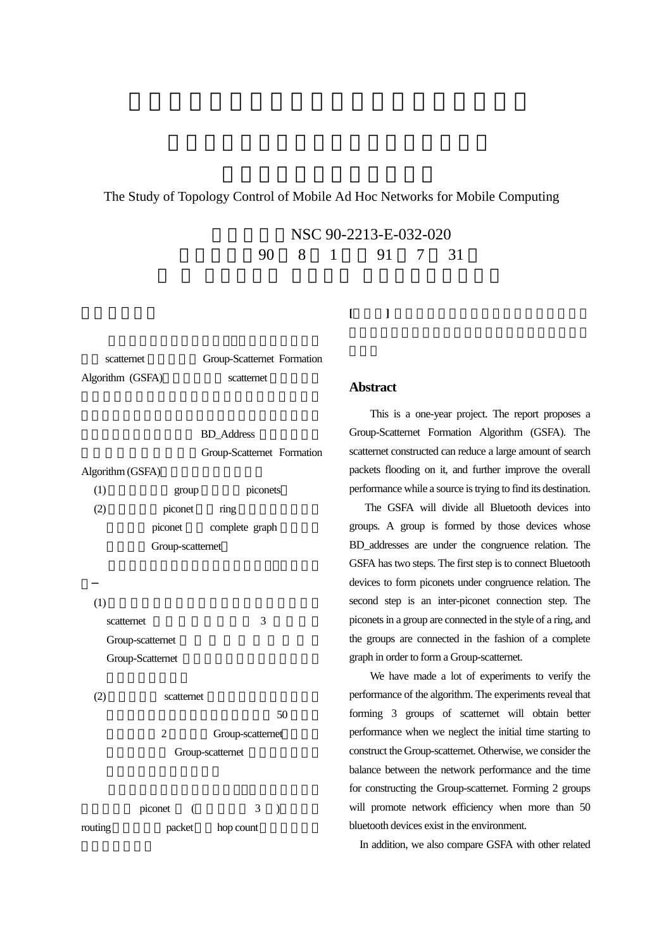# The Study of Topology Control of Mobile Ad Hoc Networks for Mobile Computing

NSC 90-2213-E-032-020 執行期限:90 8 1 日至 91 7 31

**[**關鍵詞**]** 藍芽無線通訊系統、隨建即連網路、微網

Algorithm (GSFA) scatternet

scatternet Group-Scatternet Formation

**BD\_Address** Group-Scatternet Formation Algorithm (GSFA)  $(1)$  group piconets  $(2)$  piconet  $\frac{1}{\pi}$ 

piconet complete graph Group-scatternet

 $(1)$ scatternet 3 Group-scatternet Group-Scatternet (2) scatternet  $50$ 

2 Group-scatternet Group-scatternet

 $piconet$  (  $3$  ) routing packet hop count

## **Abstract**

This is a one-year project. The report proposes a Group-Scatternet Formation Algorithm (GSFA). The scatternet constructed can reduce a large amount of search packets flooding on it, and further improve the overall performance while a source is trying to find its destination.

 The GSFA will divide all Bluetooth devices into groups. A group is formed by those devices whose BD\_addresses are under the congruence relation. The GSFA has two steps. The first step is to connect Bluetooth devices to form piconets under congruence relation. The second step is an inter-piconet connection step. The piconets in a group are connected in the style of a ring, and the groups are connected in the fashion of a complete graph in order to form a Group-scatternet.

We have made a lot of experiments to verify the performance of the algorithm. The experiments reveal that forming 3 groups of scatternet will obtain better performance when we neglect the initial time starting to construct the Group-scatternet. Otherwise, we consider the balance between the network performance and the time for constructing the Group-scatternet. Forming 2 groups will promote network efficiency when more than 50 bluetooth devices exist in the environment.

In addition, we also compare GSFA with other related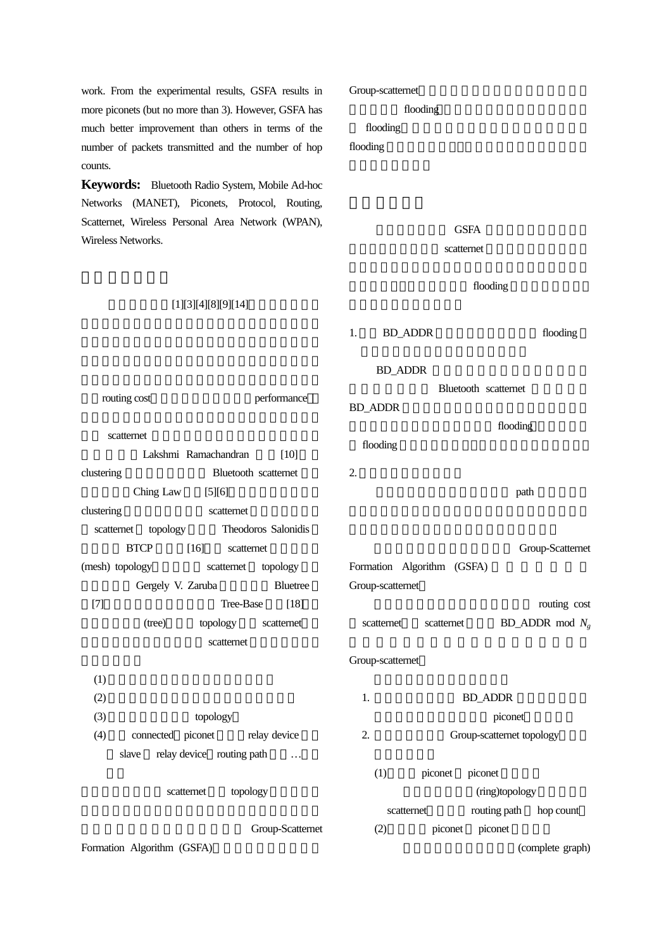work. From the experimental results, GSFA results in more piconets (but no more than 3). However, GSFA has much better improvement than others in terms of the number of packets transmitted and the number of hop counts.

**Keywords:** Bluetooth Radio System, Mobile Ad-hoc Networks (MANET), Piconets, Protocol, Routing, Scatternet, Wireless Personal Area Network (WPAN), Wireless Networks.

#### $[1][3][4][8][9][14]$

routing cost and performance

clustering Bluetooth scatternet Ching Law  $[5][6]$ 

scatternet topology Theodoros Salonidis BTCP [16] scatternet (mesh) topology scatternet topology

 $[T]$  Tree-Base  $[18]$ 

clustering scatternet

Lakshmi Ramachandran [10]

Gergely V. Zaruba Bluetree

(tree) topology scatternet scatternet

scatternet

Group-scatternet flooding

flooding

# flooding

GSFA

scatternet

flooding

1. BD\_ADDR flooding BD\_ADDR Bluetooth scatternet BD\_ADDR flooding

 $2.$ 

 $\mathbf{p}$  path  $\mathbf{p}$ 

Group-Scatternet Formation Algorithm (GSFA)

Group-scatternet routing cost

scatternet scatternet BD\_ADDR mod *N<sub>g</sub>* 

 $(1)$  $(2)$  $(3)$  topology (4) connected piconet relay device slave relay device routing path ... scatternet topology Group-Scatternet 1. BD\_ADDR piconet 2. Group-scatternet topology  $(1)$  piconet piconet (ring)topology scatternet routing path hop count  $(2)$  piconet piconet

Formation Algorithm (GSFA)

flooding

Group-scatternet

(complete graph)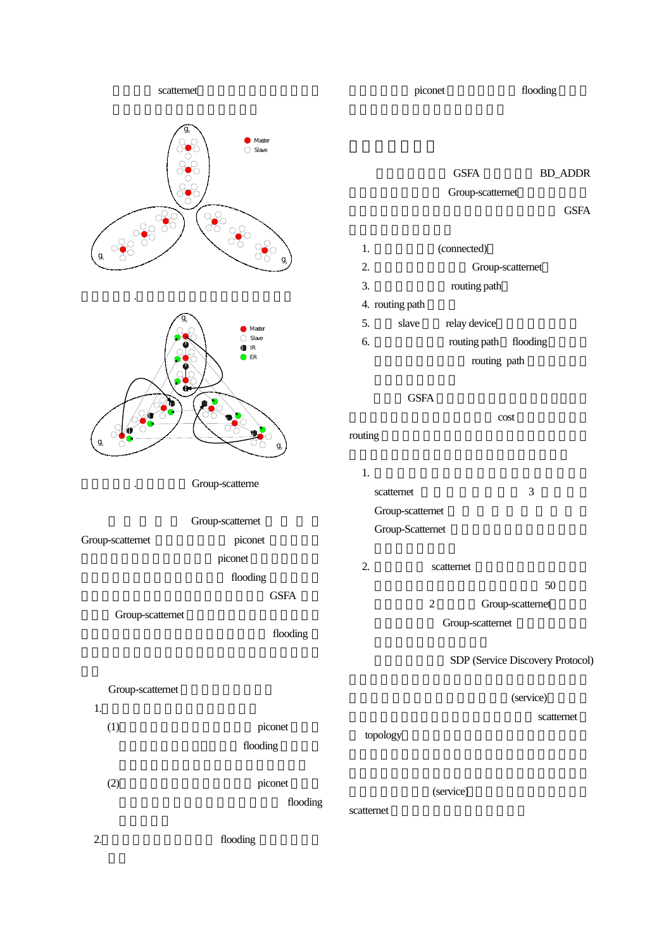scatternet





Group-scatterne

圖一、範例.三個群組完成第一階段的建構情形

Group-scatternet Group-scatternet piconet piconet flooding GSFA Group-scatternet flooding

### Group-scatternet

- 1.  $\blacksquare$  $(1)$  piconet
	- $(2)$  piconet
		-
- 2. flooding stress and the flooding stress in the stress of  $\alpha$

flooding

flooding

#### piconet flooding

GSFA BD\_ADDR Group-scatternet

### GSFA

1. (connected) 2. Group-scatternet 3. The routing path 4. routing path 5. slave relay device 6. The flooding path flooding routing path

#### GSFA

區分群組個數增多所必須付出的 cost 也越多,相對 routing

- $1.$ scatternet 3
	- Group-scatternet Group-Scatternet
- 2. scatternet  $50$ 
	- 2 Group-scatternet Group-scatternet

# SDP (Service Discovery Protocol)

(service)

scatternet

(service)

topology

scatternet